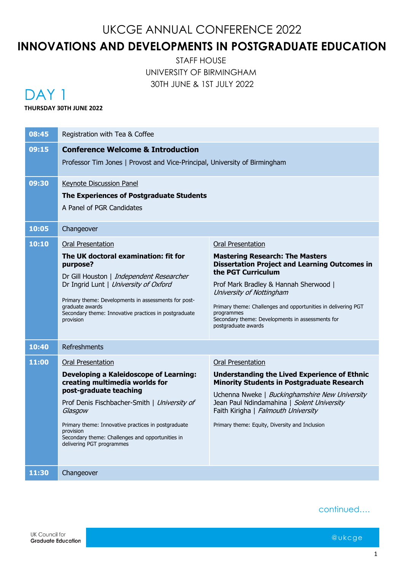## **INNOVATIONS AND DEVELOPMENTS IN POSTGRADUATE EDUCATION**

STAFF HOUSE UNIVERSITY OF BIRMINGHAM 30TH JUNE & 1ST JULY 2022

## DAY<sub>1</sub>

#### **THURSDAY 30TH JUNE 2022**

| 08:45 | Registration with Tea & Coffee                                                                                                                                                                                                                                                                                                                                                                                                                                                                                                                                                                                                                                                                        |  |  |
|-------|-------------------------------------------------------------------------------------------------------------------------------------------------------------------------------------------------------------------------------------------------------------------------------------------------------------------------------------------------------------------------------------------------------------------------------------------------------------------------------------------------------------------------------------------------------------------------------------------------------------------------------------------------------------------------------------------------------|--|--|
| 09:15 | <b>Conference Welcome &amp; Introduction</b><br>Professor Tim Jones   Provost and Vice-Principal, University of Birmingham                                                                                                                                                                                                                                                                                                                                                                                                                                                                                                                                                                            |  |  |
| 09:30 | <b>Keynote Discussion Panel</b><br>The Experiences of Postgraduate Students<br>A Panel of PGR Candidates                                                                                                                                                                                                                                                                                                                                                                                                                                                                                                                                                                                              |  |  |
| 10:05 | Changeover                                                                                                                                                                                                                                                                                                                                                                                                                                                                                                                                                                                                                                                                                            |  |  |
| 10:10 | <b>Oral Presentation</b><br><b>Oral Presentation</b><br>The UK doctoral examination: fit for<br><b>Mastering Research: The Masters</b><br><b>Dissertation Project and Learning Outcomes in</b><br>purpose?<br>the PGT Curriculum<br>Dr Gill Houston   Independent Researcher<br>Dr Ingrid Lunt   University of Oxford<br>Prof Mark Bradley & Hannah Sherwood  <br>University of Nottingham<br>Primary theme: Developments in assessments for post-<br>Primary theme: Challenges and opportunities in delivering PGT<br>graduate awards<br>Secondary theme: Innovative practices in postgraduate<br>programmes<br>Secondary theme: Developments in assessments for<br>provision<br>postgraduate awards |  |  |
| 10:40 | <b>Refreshments</b>                                                                                                                                                                                                                                                                                                                                                                                                                                                                                                                                                                                                                                                                                   |  |  |
| 11:00 | <b>Oral Presentation</b><br><b>Oral Presentation</b><br><b>Developing a Kaleidoscope of Learning:</b><br><b>Understanding the Lived Experience of Ethnic</b><br>creating multimedia worlds for<br><b>Minority Students in Postgraduate Research</b><br>post-graduate teaching<br>Uchenna Nweke   Buckinghamshire New University<br>Prof Denis Fischbacher-Smith   University of<br>Jean Paul Ndindamahina   Solent University<br>Faith Kirigha   Falmouth University<br>Glasgow<br>Primary theme: Innovative practices in postgraduate<br>Primary theme: Equity, Diversity and Inclusion<br>provision<br>Secondary theme: Challenges and opportunities in<br>delivering PGT programmes                |  |  |
| 11:30 | Changeover                                                                                                                                                                                                                                                                                                                                                                                                                                                                                                                                                                                                                                                                                            |  |  |

continued….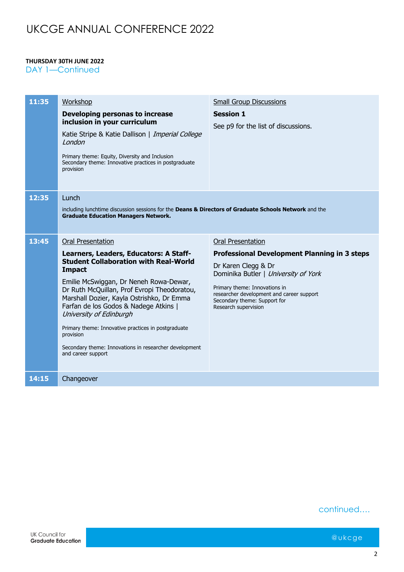#### **THURSDAY 30TH JUNE 2022**

DAY 1-Continued

| 11:35 | Workshop                                                                                                                                                                                                                                                                                                                                                                                                                                                                                          | <b>Small Group Discussions</b>                                                                                                                                                                                                                                                       |  |
|-------|---------------------------------------------------------------------------------------------------------------------------------------------------------------------------------------------------------------------------------------------------------------------------------------------------------------------------------------------------------------------------------------------------------------------------------------------------------------------------------------------------|--------------------------------------------------------------------------------------------------------------------------------------------------------------------------------------------------------------------------------------------------------------------------------------|--|
|       | Developing personas to increase<br>inclusion in your curriculum<br>Katie Stripe & Katie Dallison   Imperial College<br>London<br>Primary theme: Equity, Diversity and Inclusion<br>Secondary theme: Innovative practices in postgraduate<br>provision                                                                                                                                                                                                                                             | <b>Session 1</b><br>See p9 for the list of discussions.                                                                                                                                                                                                                              |  |
| 12:35 | Lunch<br>including lunchtime discussion sessions for the Deans & Directors of Graduate Schools Network and the<br><b>Graduate Education Managers Network.</b>                                                                                                                                                                                                                                                                                                                                     |                                                                                                                                                                                                                                                                                      |  |
| 13:45 | <b>Oral Presentation</b><br>Learners, Leaders, Educators: A Staff-<br><b>Student Collaboration with Real-World</b><br><b>Impact</b><br>Emilie McSwiggan, Dr Neneh Rowa-Dewar,<br>Dr Ruth McQuillan, Prof Evropi Theodoratou,<br>Marshall Dozier, Kayla Ostrishko, Dr Emma<br>Farfan de los Godos & Nadege Atkins  <br>University of Edinburgh<br>Primary theme: Innovative practices in postgraduate<br>provision<br>Secondary theme: Innovations in researcher development<br>and career support | <b>Oral Presentation</b><br><b>Professional Development Planning in 3 steps</b><br>Dr Karen Clegg & Dr<br>Dominika Butler   University of York<br>Primary theme: Innovations in<br>researcher development and career support<br>Secondary theme: Support for<br>Research supervision |  |
| 14:15 | Changeover                                                                                                                                                                                                                                                                                                                                                                                                                                                                                        |                                                                                                                                                                                                                                                                                      |  |

continued….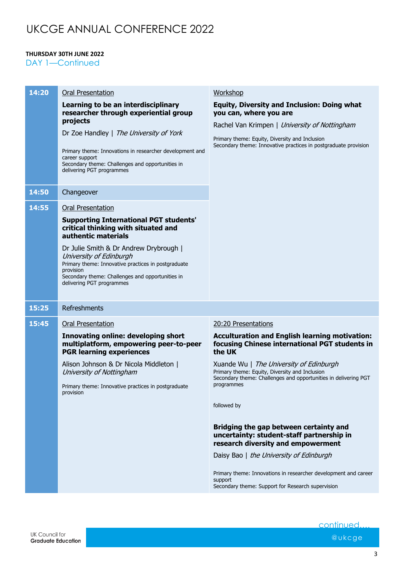#### **THURSDAY 30TH JUNE 2022**

DAY 1-Continued

| 14:20 | <b>Oral Presentation</b>                                                                                                                                                                                                                                                                                                                                          | Workshop                                                                                                                                                                                                                                                                                                                                                                                                |
|-------|-------------------------------------------------------------------------------------------------------------------------------------------------------------------------------------------------------------------------------------------------------------------------------------------------------------------------------------------------------------------|---------------------------------------------------------------------------------------------------------------------------------------------------------------------------------------------------------------------------------------------------------------------------------------------------------------------------------------------------------------------------------------------------------|
|       | Learning to be an interdisciplinary<br>researcher through experiential group<br>projects<br>Dr Zoe Handley   The University of York<br>Primary theme: Innovations in researcher development and<br>career support<br>Secondary theme: Challenges and opportunities in<br>delivering PGT programmes                                                                | <b>Equity, Diversity and Inclusion: Doing what</b><br>you can, where you are<br>Rachel Van Krimpen   University of Nottingham<br>Primary theme: Equity, Diversity and Inclusion<br>Secondary theme: Innovative practices in postgraduate provision                                                                                                                                                      |
| 14:50 | Changeover                                                                                                                                                                                                                                                                                                                                                        |                                                                                                                                                                                                                                                                                                                                                                                                         |
| 14:55 | <b>Oral Presentation</b><br><b>Supporting International PGT students'</b><br>critical thinking with situated and<br>authentic materials<br>Dr Julie Smith & Dr Andrew Drybrough  <br>University of Edinburgh<br>Primary theme: Innovative practices in postgraduate<br>provision<br>Secondary theme: Challenges and opportunities in<br>delivering PGT programmes |                                                                                                                                                                                                                                                                                                                                                                                                         |
| 15:25 | Refreshments                                                                                                                                                                                                                                                                                                                                                      |                                                                                                                                                                                                                                                                                                                                                                                                         |
| 15:45 | <b>Oral Presentation</b>                                                                                                                                                                                                                                                                                                                                          | 20:20 Presentations                                                                                                                                                                                                                                                                                                                                                                                     |
|       | <b>Innovating online: developing short</b><br>multiplatform, empowering peer-to-peer<br><b>PGR learning experiences</b><br>Alison Johnson & Dr Nicola Middleton  <br>University of Nottingham                                                                                                                                                                     | <b>Acculturation and English learning motivation:</b><br>focusing Chinese international PGT students in<br>the UK<br>Xuande Wu   The University of Edinburgh<br>Primary theme: Equity, Diversity and Inclusion                                                                                                                                                                                          |
|       | Primary theme: Innovative practices in postgraduate<br>provision                                                                                                                                                                                                                                                                                                  | Secondary theme: Challenges and opportunities in delivering PGT<br>programmes<br>followed by<br>Bridging the gap between certainty and<br>uncertainty: student-staff partnership in<br>research diversity and empowerment<br>Daisy Bao   the University of Edinburgh<br>Primary theme: Innovations in researcher development and career<br>support<br>Secondary theme: Support for Research supervision |

continued.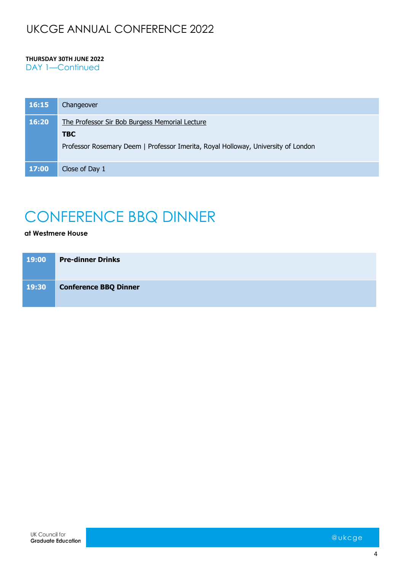#### **THURSDAY 30TH JUNE 2022**

DAY 1-Continued

| 16:15 | Changeover                                                                                                                                        |
|-------|---------------------------------------------------------------------------------------------------------------------------------------------------|
| 16:20 | The Professor Sir Bob Burgess Memorial Lecture<br><b>TBC</b><br>Professor Rosemary Deem   Professor Imerita, Royal Holloway, University of London |
| 17:00 | Close of Day 1                                                                                                                                    |

# CONFERENCE BBQ DINNER

#### **at Westmere House**

| 19:00 | <b>Pre-dinner Drinks</b>     |
|-------|------------------------------|
| 19:30 | <b>Conference BBQ Dinner</b> |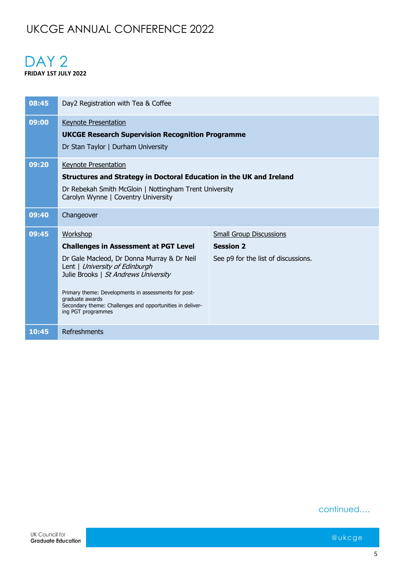### DAY<sub>2</sub> **FRIDAY 1ST JULY 2022**

| 08:45 | Day2 Registration with Tea & Coffee                                                                                                                                                                                                                                                                                                            |                                                                                           |
|-------|------------------------------------------------------------------------------------------------------------------------------------------------------------------------------------------------------------------------------------------------------------------------------------------------------------------------------------------------|-------------------------------------------------------------------------------------------|
| 09:00 | <b>Keynote Presentation</b><br><b>UKCGE Research Supervision Recognition Programme</b><br>Dr Stan Taylor   Durham University                                                                                                                                                                                                                   |                                                                                           |
| 09:20 | <b>Keynote Presentation</b><br>Structures and Strategy in Doctoral Education in the UK and Ireland<br>Dr Rebekah Smith McGloin   Nottingham Trent University<br>Carolyn Wynne   Coventry University                                                                                                                                            |                                                                                           |
| 09:40 | Changeover                                                                                                                                                                                                                                                                                                                                     |                                                                                           |
| 09:45 | Workshop<br><b>Challenges in Assessment at PGT Level</b><br>Dr Gale Macleod, Dr Donna Murray & Dr Neil<br>Lent   University of Edinburgh<br>Julie Brooks   St Andrews University<br>Primary theme: Developments in assessments for post-<br>graduate awards<br>Secondary theme: Challenges and opportunities in deliver-<br>ing PGT programmes | <b>Small Group Discussions</b><br><b>Session 2</b><br>See p9 for the list of discussions. |
| 10:45 | Refreshments                                                                                                                                                                                                                                                                                                                                   |                                                                                           |

#### continued….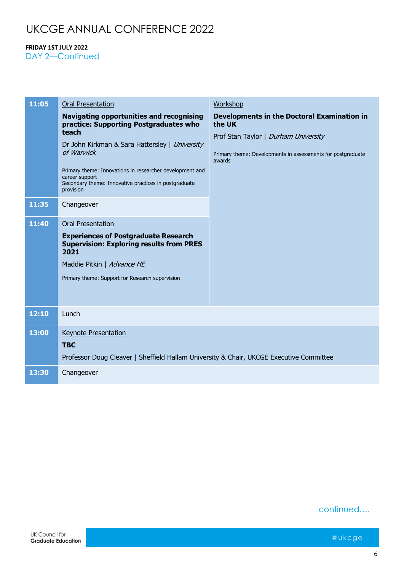#### **FRIDAY 1ST JULY 2022**

DAY 2-Continued

| 11:05 | <b>Oral Presentation</b>                                                                                                                                                                                                                                                                                               | Workshop                                                                                                                                                                      |
|-------|------------------------------------------------------------------------------------------------------------------------------------------------------------------------------------------------------------------------------------------------------------------------------------------------------------------------|-------------------------------------------------------------------------------------------------------------------------------------------------------------------------------|
|       | <b>Navigating opportunities and recognising</b><br>practice: Supporting Postgraduates who<br>teach<br>Dr John Kirkman & Sara Hattersley   University<br>of Warwick<br>Primary theme: Innovations in researcher development and<br>career support<br>Secondary theme: Innovative practices in postgraduate<br>provision | <b>Developments in the Doctoral Examination in</b><br>the UK<br>Prof Stan Taylor   Durham University<br>Primary theme: Developments in assessments for postgraduate<br>awards |
| 11:35 | Changeover                                                                                                                                                                                                                                                                                                             |                                                                                                                                                                               |
| 11:40 | <b>Oral Presentation</b><br><b>Experiences of Postgraduate Research</b><br><b>Supervision: Exploring results from PRES</b><br>2021<br>Maddie Pitkin   Advance HE<br>Primary theme: Support for Research supervision                                                                                                    |                                                                                                                                                                               |
| 12:10 | Lunch                                                                                                                                                                                                                                                                                                                  |                                                                                                                                                                               |
| 13:00 | <b>Keynote Presentation</b><br><b>TBC</b><br>Professor Doug Cleaver   Sheffield Hallam University & Chair, UKCGE Executive Committee                                                                                                                                                                                   |                                                                                                                                                                               |
| 13:30 | Changeover                                                                                                                                                                                                                                                                                                             |                                                                                                                                                                               |

continued….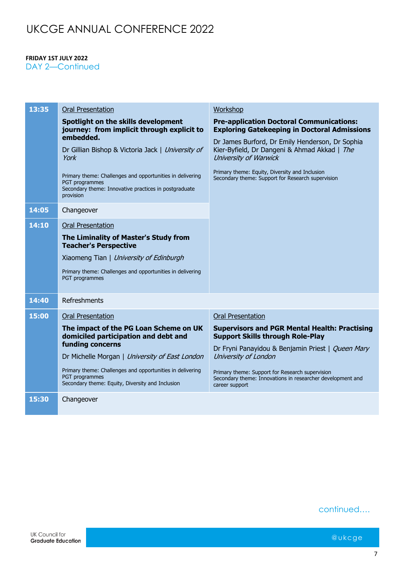#### **FRIDAY 1ST JULY 2022**

DAY 2-Continued

| 13:35 | <b>Oral Presentation</b>                                                                                                                          | Workshop                                                                                                                        |
|-------|---------------------------------------------------------------------------------------------------------------------------------------------------|---------------------------------------------------------------------------------------------------------------------------------|
|       | Spotlight on the skills development<br>journey: from implicit through explicit to<br>embedded.                                                    | <b>Pre-application Doctoral Communications:</b><br><b>Exploring Gatekeeping in Doctoral Admissions</b>                          |
|       | Dr Gillian Bishop & Victoria Jack   University of<br>York                                                                                         | Dr James Burford, Dr Emily Henderson, Dr Sophia<br>Kier-Byfield, Dr Dangeni & Ahmad Akkad   The<br>University of Warwick        |
|       | Primary theme: Challenges and opportunities in delivering<br>PGT programmes<br>Secondary theme: Innovative practices in postgraduate<br>provision | Primary theme: Equity, Diversity and Inclusion<br>Secondary theme: Support for Research supervision                             |
| 14:05 | Changeover                                                                                                                                        |                                                                                                                                 |
| 14:10 | <b>Oral Presentation</b>                                                                                                                          |                                                                                                                                 |
|       | The Liminality of Master's Study from<br><b>Teacher's Perspective</b>                                                                             |                                                                                                                                 |
|       | Xiaomeng Tian   University of Edinburgh                                                                                                           |                                                                                                                                 |
|       | Primary theme: Challenges and opportunities in delivering<br>PGT programmes                                                                       |                                                                                                                                 |
| 14:40 | Refreshments                                                                                                                                      |                                                                                                                                 |
| 15:00 | <b>Oral Presentation</b>                                                                                                                          | <b>Oral Presentation</b>                                                                                                        |
|       | The impact of the PG Loan Scheme on UK<br>domiciled participation and debt and                                                                    | <b>Supervisors and PGR Mental Health: Practising</b><br><b>Support Skills through Role-Play</b>                                 |
|       | funding concerns                                                                                                                                  | Dr Fryni Panayidou & Benjamin Priest   Queen Mary                                                                               |
|       | Dr Michelle Morgan   University of East London                                                                                                    | University of London                                                                                                            |
|       | Primary theme: Challenges and opportunities in delivering<br>PGT programmes<br>Secondary theme: Equity, Diversity and Inclusion                   | Primary theme: Support for Research supervision<br>Secondary theme: Innovations in researcher development and<br>career support |
| 15:30 | Changeover                                                                                                                                        |                                                                                                                                 |

### continued….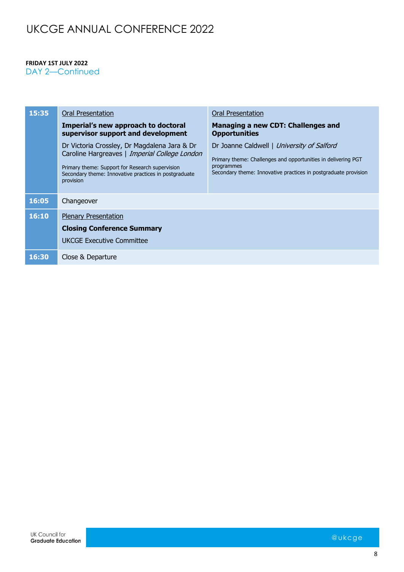#### **FRIDAY 1ST JULY 2022**

DAY 2-Continued

| 15:35 | Oral Presentation                                                                                                                                                                                                      | Oral Presentation                                                                                                                                                                            |
|-------|------------------------------------------------------------------------------------------------------------------------------------------------------------------------------------------------------------------------|----------------------------------------------------------------------------------------------------------------------------------------------------------------------------------------------|
|       | Imperial's new approach to doctoral<br>supervisor support and development                                                                                                                                              | Managing a new CDT: Challenges and<br><b>Opportunities</b>                                                                                                                                   |
|       | Dr Victoria Crossley, Dr Magdalena Jara & Dr<br>Caroline Hargreaves   Imperial College London<br>Primary theme: Support for Research supervision<br>Secondary theme: Innovative practices in postgraduate<br>provision | Dr Joanne Caldwell   University of Salford<br>Primary theme: Challenges and opportunities in delivering PGT<br>programmes<br>Secondary theme: Innovative practices in postgraduate provision |
| 16:05 | Changeover                                                                                                                                                                                                             |                                                                                                                                                                                              |
| 16:10 | <b>Plenary Presentation</b><br><b>Closing Conference Summary</b><br><b>UKCGE Executive Committee</b>                                                                                                                   |                                                                                                                                                                                              |
| 16:30 | Close & Departure                                                                                                                                                                                                      |                                                                                                                                                                                              |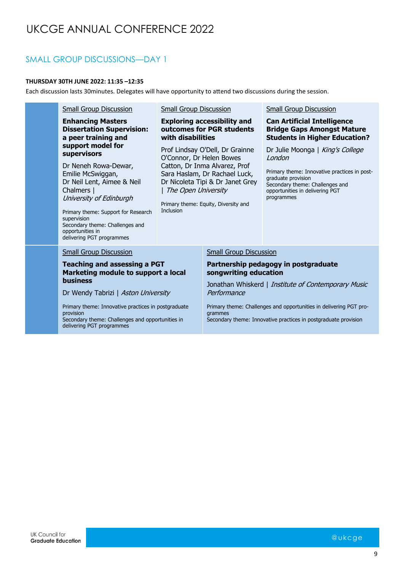### SMALL GROUP DISCUSSIONS—DAY 1

#### **THURSDAY 30TH JUNE 2022: 11:35 –12:35**

Each discussion lasts 30minutes. Delegates will have opportunity to attend two discussions during the session.

| <b>Small Group Discussion</b><br><b>Enhancing Masters</b><br><b>Dissertation Supervision:</b><br>a peer training and<br>support model for<br>supervisors<br>Dr Neneh Rowa-Dewar,<br>Emilie McSwiggan,<br>Dr Neil Lent, Aimee & Neil<br>Chalmers  <br>University of Edinburgh<br>Primary theme: Support for Research<br>supervision<br>Secondary theme: Challenges and<br>opportunities in | <b>Small Group Discussion</b><br>with disabilities<br>O'Connor, Dr Helen Bowes<br>The Open University<br><b>Inclusion</b> | <b>Exploring accessibility and</b><br>outcomes for PGR students<br>Prof Lindsay O'Dell, Dr Grainne<br>Catton, Dr Inma Alvarez, Prof<br>Sara Haslam, Dr Rachael Luck,<br>Dr Nicoleta Tipi & Dr Janet Grey<br>Primary theme: Equity, Diversity and | <b>Small Group Discussion</b><br><b>Can Artificial Intelligence</b><br><b>Bridge Gaps Amongst Mature</b><br><b>Students in Higher Education?</b><br>Dr Julie Moonga   King's College<br>London<br>Primary theme: Innovative practices in post-<br>graduate provision<br>Secondary theme: Challenges and<br>opportunities in delivering PGT<br>programmes |
|-------------------------------------------------------------------------------------------------------------------------------------------------------------------------------------------------------------------------------------------------------------------------------------------------------------------------------------------------------------------------------------------|---------------------------------------------------------------------------------------------------------------------------|--------------------------------------------------------------------------------------------------------------------------------------------------------------------------------------------------------------------------------------------------|----------------------------------------------------------------------------------------------------------------------------------------------------------------------------------------------------------------------------------------------------------------------------------------------------------------------------------------------------------|
| <b>Small Group Discussion</b><br><b>Teaching and assessing a PGT</b><br>Marketing module to support a local<br><b>business</b><br>Dr Wendy Tabrizi   Aston University<br>Primary theme: Innovative practices in postgraduate<br>provision<br>Secondary theme: Challenges and opportunities in<br>delivering PGT programmes                                                                |                                                                                                                           | <b>Small Group Discussion</b><br>songwriting education<br>Performance<br>grammes                                                                                                                                                                 | Partnership pedagogy in postgraduate<br>Jonathan Whiskerd   Institute of Contemporary Music<br>Primary theme: Challenges and opportunities in delivering PGT pro-<br>Secondary theme: Innovative practices in postgraduate provision                                                                                                                     |